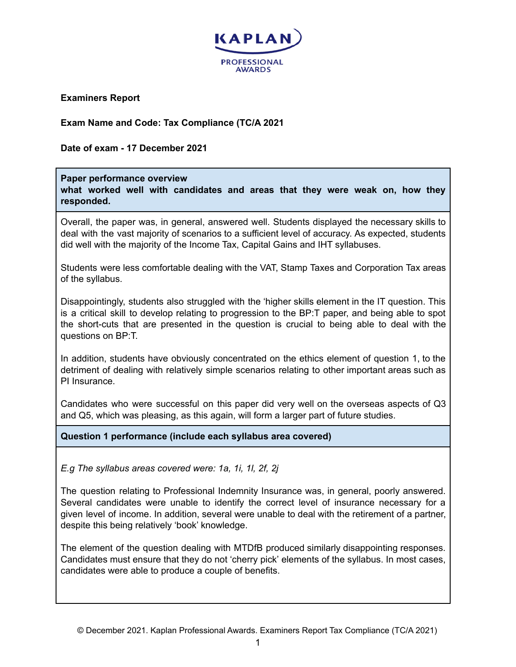

**Examiners Report**

**Exam Name and Code: Tax Compliance (TC/A 2021**

**Date of exam - 17 December 2021**

### **Paper performance overview**

**what worked well with candidates and areas that they were weak on, how they responded.**

Overall, the paper was, in general, answered well. Students displayed the necessary skills to deal with the vast majority of scenarios to a sufficient level of accuracy. As expected, students did well with the majority of the Income Tax, Capital Gains and IHT syllabuses.

Students were less comfortable dealing with the VAT, Stamp Taxes and Corporation Tax areas of the syllabus.

Disappointingly, students also struggled with the 'higher skills element in the IT question. This is a critical skill to develop relating to progression to the BP:T paper, and being able to spot the short-cuts that are presented in the question is crucial to being able to deal with the questions on BP:T.

In addition, students have obviously concentrated on the ethics element of question 1, to the detriment of dealing with relatively simple scenarios relating to other important areas such as PI Insurance.

Candidates who were successful on this paper did very well on the overseas aspects of Q3 and Q5, which was pleasing, as this again, will form a larger part of future studies.

**Question 1 performance (include each syllabus area covered)**

*E.g The syllabus areas covered were: 1a, 1i, 1l, 2f, 2j*

The question relating to Professional Indemnity Insurance was, in general, poorly answered. Several candidates were unable to identify the correct level of insurance necessary for a given level of income. In addition, several were unable to deal with the retirement of a partner, despite this being relatively 'book' knowledge.

The element of the question dealing with MTDfB produced similarly disappointing responses. Candidates must ensure that they do not 'cherry pick' elements of the syllabus. In most cases, candidates were able to produce a couple of benefits.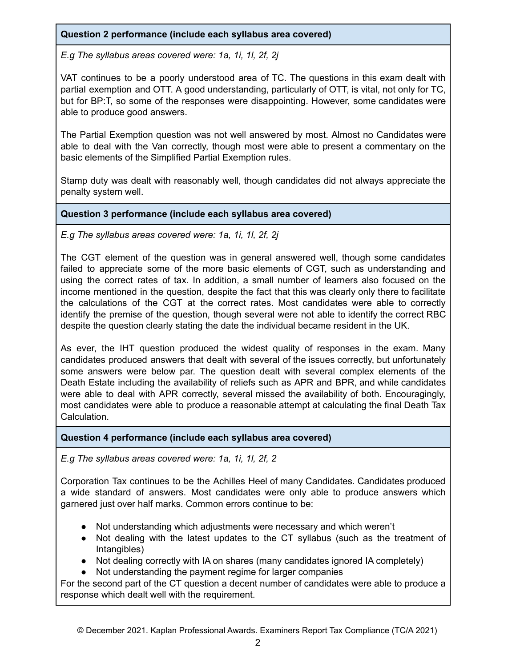# **Question 2 performance (include each syllabus area covered)**

*E.g The syllabus areas covered were: 1a, 1i, 1l, 2f, 2j*

VAT continues to be a poorly understood area of TC. The questions in this exam dealt with partial exemption and OTT. A good understanding, particularly of OTT, is vital, not only for TC, but for BP:T, so some of the responses were disappointing. However, some candidates were able to produce good answers.

The Partial Exemption question was not well answered by most. Almost no Candidates were able to deal with the Van correctly, though most were able to present a commentary on the basic elements of the Simplified Partial Exemption rules.

Stamp duty was dealt with reasonably well, though candidates did not always appreciate the penalty system well.

### **Question 3 performance (include each syllabus area covered)**

*E.g The syllabus areas covered were: 1a, 1i, 1l, 2f, 2j*

The CGT element of the question was in general answered well, though some candidates failed to appreciate some of the more basic elements of CGT, such as understanding and using the correct rates of tax. In addition, a small number of learners also focused on the income mentioned in the question, despite the fact that this was clearly only there to facilitate the calculations of the CGT at the correct rates. Most candidates were able to correctly identify the premise of the question, though several were not able to identify the correct RBC despite the question clearly stating the date the individual became resident in the UK.

As ever, the IHT question produced the widest quality of responses in the exam. Many candidates produced answers that dealt with several of the issues correctly, but unfortunately some answers were below par. The question dealt with several complex elements of the Death Estate including the availability of reliefs such as APR and BPR, and while candidates were able to deal with APR correctly, several missed the availability of both. Encouragingly, most candidates were able to produce a reasonable attempt at calculating the final Death Tax Calculation.

### **Question 4 performance (include each syllabus area covered)**

*E.g The syllabus areas covered were: 1a, 1i, 1l, 2f, 2*

Corporation Tax continues to be the Achilles Heel of many Candidates. Candidates produced a wide standard of answers. Most candidates were only able to produce answers which garnered just over half marks. Common errors continue to be:

- Not understanding which adjustments were necessary and which weren't
- Not dealing with the latest updates to the CT syllabus (such as the treatment of Intangibles)
- Not dealing correctly with IA on shares (many candidates ignored IA completely)
- Not understanding the payment regime for larger companies

For the second part of the CT question a decent number of candidates were able to produce a response which dealt well with the requirement.